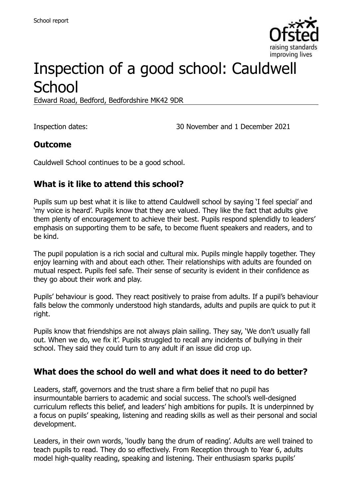

# Inspection of a good school: Cauldwell **School**

Edward Road, Bedford, Bedfordshire MK42 9DR

Inspection dates: 30 November and 1 December 2021

## **Outcome**

Cauldwell School continues to be a good school.

# **What is it like to attend this school?**

Pupils sum up best what it is like to attend Cauldwell school by saying 'I feel special' and 'my voice is heard'. Pupils know that they are valued. They like the fact that adults give them plenty of encouragement to achieve their best. Pupils respond splendidly to leaders' emphasis on supporting them to be safe, to become fluent speakers and readers, and to be kind.

The pupil population is a rich social and cultural mix. Pupils mingle happily together. They enjoy learning with and about each other. Their relationships with adults are founded on mutual respect. Pupils feel safe. Their sense of security is evident in their confidence as they go about their work and play.

Pupils' behaviour is good. They react positively to praise from adults. If a pupil's behaviour falls below the commonly understood high standards, adults and pupils are quick to put it right.

Pupils know that friendships are not always plain sailing. They say, 'We don't usually fall out. When we do, we fix it'. Pupils struggled to recall any incidents of bullying in their school. They said they could turn to any adult if an issue did crop up.

## **What does the school do well and what does it need to do better?**

Leaders, staff, governors and the trust share a firm belief that no pupil has insurmountable barriers to academic and social success. The school's well-designed curriculum reflects this belief, and leaders' high ambitions for pupils. It is underpinned by a focus on pupils' speaking, listening and reading skills as well as their personal and social development.

Leaders, in their own words, 'loudly bang the drum of reading'. Adults are well trained to teach pupils to read. They do so effectively. From Reception through to Year 6, adults model high-quality reading, speaking and listening. Their enthusiasm sparks pupils'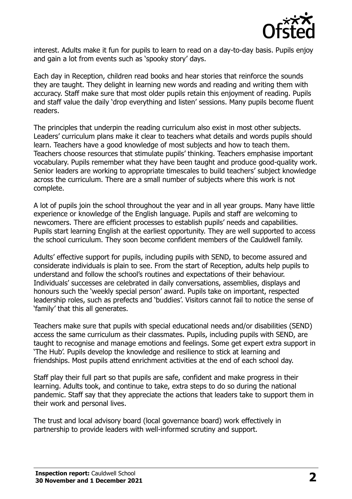

interest. Adults make it fun for pupils to learn to read on a day-to-day basis. Pupils enjoy and gain a lot from events such as 'spooky story' days.

Each day in Reception, children read books and hear stories that reinforce the sounds they are taught. They delight in learning new words and reading and writing them with accuracy. Staff make sure that most older pupils retain this enjoyment of reading. Pupils and staff value the daily 'drop everything and listen' sessions. Many pupils become fluent readers.

The principles that underpin the reading curriculum also exist in most other subjects. Leaders' curriculum plans make it clear to teachers what details and words pupils should learn. Teachers have a good knowledge of most subjects and how to teach them. Teachers choose resources that stimulate pupils' thinking. Teachers emphasise important vocabulary. Pupils remember what they have been taught and produce good-quality work. Senior leaders are working to appropriate timescales to build teachers' subject knowledge across the curriculum. There are a small number of subjects where this work is not complete.

A lot of pupils join the school throughout the year and in all year groups. Many have little experience or knowledge of the English language. Pupils and staff are welcoming to newcomers. There are efficient processes to establish pupils' needs and capabilities. Pupils start learning English at the earliest opportunity. They are well supported to access the school curriculum. They soon become confident members of the Cauldwell family.

Adults' effective support for pupils, including pupils with SEND, to become assured and considerate individuals is plain to see. From the start of Reception, adults help pupils to understand and follow the school's routines and expectations of their behaviour. Individuals' successes are celebrated in daily conversations, assemblies, displays and honours such the 'weekly special person' award. Pupils take on important, respected leadership roles, such as prefects and 'buddies'. Visitors cannot fail to notice the sense of 'family' that this all generates.

Teachers make sure that pupils with special educational needs and/or disabilities (SEND) access the same curriculum as their classmates. Pupils, including pupils with SEND, are taught to recognise and manage emotions and feelings. Some get expert extra support in 'The Hub'. Pupils develop the knowledge and resilience to stick at learning and friendships. Most pupils attend enrichment activities at the end of each school day.

Staff play their full part so that pupils are safe, confident and make progress in their learning. Adults took, and continue to take, extra steps to do so during the national pandemic. Staff say that they appreciate the actions that leaders take to support them in their work and personal lives.

The trust and local advisory board (local governance board) work effectively in partnership to provide leaders with well-informed scrutiny and support.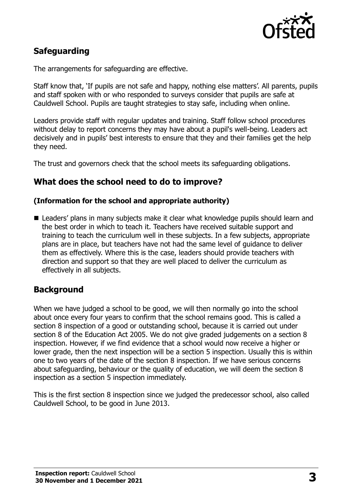

# **Safeguarding**

The arrangements for safeguarding are effective.

Staff know that, 'If pupils are not safe and happy, nothing else matters'. All parents, pupils and staff spoken with or who responded to surveys consider that pupils are safe at Cauldwell School. Pupils are taught strategies to stay safe, including when online.

Leaders provide staff with regular updates and training. Staff follow school procedures without delay to report concerns they may have about a pupil's well-being. Leaders act decisively and in pupils' best interests to ensure that they and their families get the help they need.

The trust and governors check that the school meets its safeguarding obligations.

## **What does the school need to do to improve?**

#### **(Information for the school and appropriate authority)**

■ Leaders' plans in many subjects make it clear what knowledge pupils should learn and the best order in which to teach it. Teachers have received suitable support and training to teach the curriculum well in these subjects. In a few subjects, appropriate plans are in place, but teachers have not had the same level of guidance to deliver them as effectively. Where this is the case, leaders should provide teachers with direction and support so that they are well placed to deliver the curriculum as effectively in all subjects.

## **Background**

When we have judged a school to be good, we will then normally go into the school about once every four years to confirm that the school remains good. This is called a section 8 inspection of a good or outstanding school, because it is carried out under section 8 of the Education Act 2005. We do not give graded judgements on a section 8 inspection. However, if we find evidence that a school would now receive a higher or lower grade, then the next inspection will be a section 5 inspection. Usually this is within one to two years of the date of the section 8 inspection. If we have serious concerns about safeguarding, behaviour or the quality of education, we will deem the section 8 inspection as a section 5 inspection immediately.

This is the first section 8 inspection since we judged the predecessor school, also called Cauldwell School, to be good in June 2013.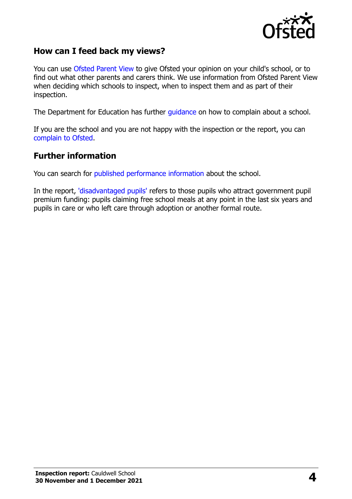

## **How can I feed back my views?**

You can use [Ofsted Parent View](https://parentview.ofsted.gov.uk/) to give Ofsted your opinion on your child's school, or to find out what other parents and carers think. We use information from Ofsted Parent View when deciding which schools to inspect, when to inspect them and as part of their inspection.

The Department for Education has further [guidance](http://www.gov.uk/complain-about-school) on how to complain about a school.

If you are the school and you are not happy with the inspection or the report, you can [complain to Ofsted.](https://www.gov.uk/complain-ofsted-report)

#### **Further information**

You can search for [published performance information](http://www.compare-school-performance.service.gov.uk/) about the school.

In the report, ['disadvantaged pupils'](http://www.gov.uk/guidance/pupil-premium-information-for-schools-and-alternative-provision-settings) refers to those pupils who attract government pupil premium funding: pupils claiming free school meals at any point in the last six years and pupils in care or who left care through adoption or another formal route.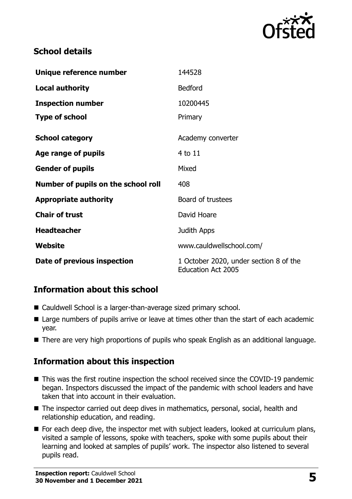

## **School details**

| Unique reference number             | 144528                                                              |
|-------------------------------------|---------------------------------------------------------------------|
| <b>Local authority</b>              | <b>Bedford</b>                                                      |
| <b>Inspection number</b>            | 10200445                                                            |
| <b>Type of school</b>               | Primary                                                             |
| <b>School category</b>              | Academy converter                                                   |
| Age range of pupils                 | 4 to 11                                                             |
| <b>Gender of pupils</b>             | Mixed                                                               |
| Number of pupils on the school roll | 408                                                                 |
| <b>Appropriate authority</b>        | Board of trustees                                                   |
| <b>Chair of trust</b>               | David Hoare                                                         |
| <b>Headteacher</b>                  | Judith Apps                                                         |
| <b>Website</b>                      | www.cauldwellschool.com/                                            |
| Date of previous inspection         | 1 October 2020, under section 8 of the<br><b>Education Act 2005</b> |

# **Information about this school**

- Cauldwell School is a larger-than-average sized primary school.
- Large numbers of pupils arrive or leave at times other than the start of each academic year.
- There are very high proportions of pupils who speak English as an additional language.

# **Information about this inspection**

- This was the first routine inspection the school received since the COVID-19 pandemic began. Inspectors discussed the impact of the pandemic with school leaders and have taken that into account in their evaluation.
- The inspector carried out deep dives in mathematics, personal, social, health and relationship education, and reading.
- For each deep dive, the inspector met with subject leaders, looked at curriculum plans, visited a sample of lessons, spoke with teachers, spoke with some pupils about their learning and looked at samples of pupils' work. The inspector also listened to several pupils read.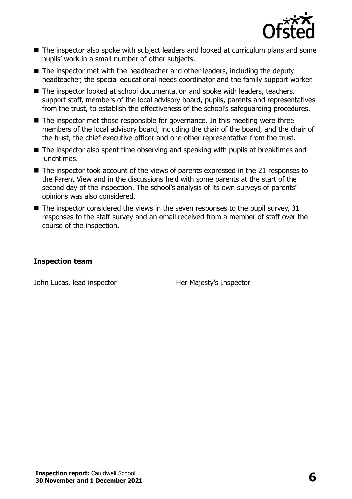

- The inspector also spoke with subject leaders and looked at curriculum plans and some pupils' work in a small number of other subjects.
- The inspector met with the headteacher and other leaders, including the deputy headteacher, the special educational needs coordinator and the family support worker.
- The inspector looked at school documentation and spoke with leaders, teachers, support staff, members of the local advisory board, pupils, parents and representatives from the trust, to establish the effectiveness of the school's safeguarding procedures.
- The inspector met those responsible for governance. In this meeting were three members of the local advisory board, including the chair of the board, and the chair of the trust, the chief executive officer and one other representative from the trust.
- The inspector also spent time observing and speaking with pupils at breaktimes and lunchtimes.
- The inspector took account of the views of parents expressed in the 21 responses to the Parent View and in the discussions held with some parents at the start of the second day of the inspection. The school's analysis of its own surveys of parents' opinions was also considered.
- $\blacksquare$  The inspector considered the views in the seven responses to the pupil survey, 31 responses to the staff survey and an email received from a member of staff over the course of the inspection.

#### **Inspection team**

John Lucas, lead inspector **Her Majesty's Inspector**